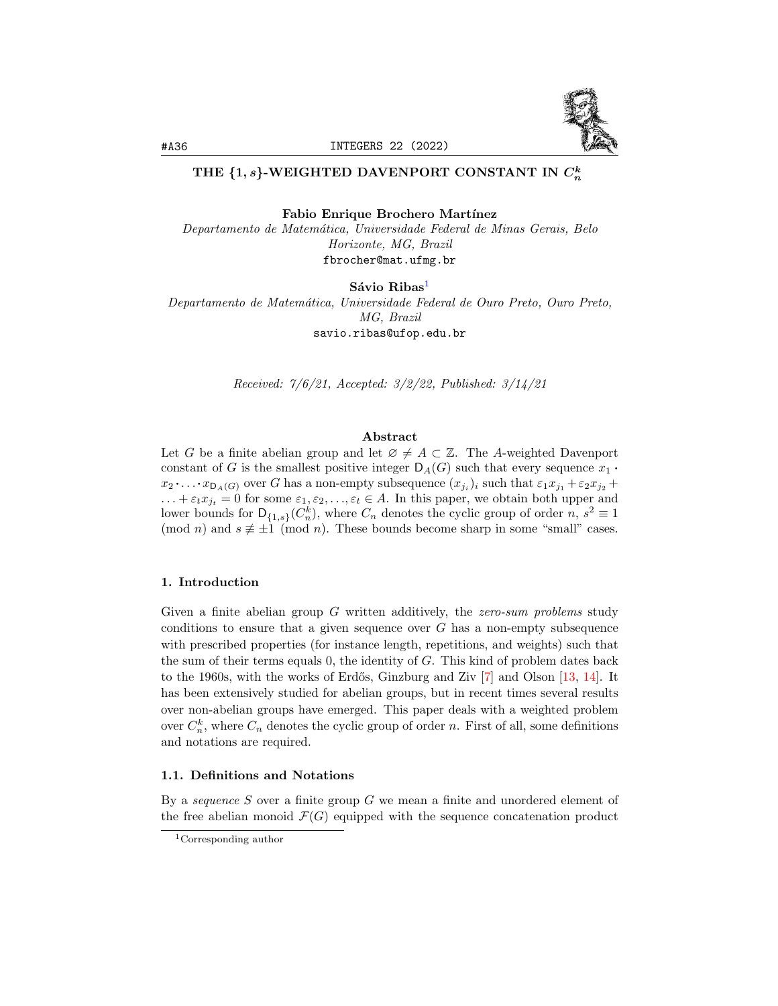

# THE {1,  $s$ }-WEIGHTED DAVENPORT CONSTANT IN  $C_n^k$

Fabio Enrique Brochero Martínez

Departamento de Matem´atica, Universidade Federal de Minas Gerais, Belo Horizonte, MG, Brazil fbrocher@mat.ufmg.br

Sávio Ribas<sup>[1](#page-0-0)</sup> Departamento de Matem´atica, Universidade Federal de Ouro Preto, Ouro Preto, MG, Brazil savio.ribas@ufop.edu.br

Received: 7/6/21, Accepted: 3/2/22, Published: 3/14/21

### Abstract

Let G be a finite abelian group and let  $\emptyset \neq A \subset \mathbb{Z}$ . The A-weighted Davenport constant of G is the smallest positive integer  $D_A(G)$  such that every sequence  $x_1$ .  $x_2 \cdot \ldots \cdot x_{\mathsf{D}_A(G)}$  over G has a non-empty subsequence  $(x_{j_i})_i$  such that  $\varepsilon_1 x_{j_1} + \varepsilon_2 x_{j_2} +$  $\dots + \varepsilon_t x_{j_t} = 0$  for some  $\varepsilon_1, \varepsilon_2, \dots, \varepsilon_t \in A$ . In this paper, we obtain both upper and lower bounds for  $D_{\{1,s\}}(C_n^k)$ , where  $C_n$  denotes the cyclic group of order  $n, s^2 \equiv 1$ (mod *n*) and  $s \not\equiv \pm 1 \pmod{n}$ . These bounds become sharp in some "small" cases.

#### 1. Introduction

Given a finite abelian group G written additively, the *zero-sum problems* study conditions to ensure that a given sequence over  $G$  has a non-empty subsequence with prescribed properties (for instance length, repetitions, and weights) such that the sum of their terms equals  $0$ , the identity of  $G$ . This kind of problem dates back to the 1960s, with the works of Erdős, Ginzburg and Ziv  $[7]$  and Olson  $[13, 14]$  $[13, 14]$  $[13, 14]$ . It has been extensively studied for abelian groups, but in recent times several results over non-abelian groups have emerged. This paper deals with a weighted problem over  $C_n^k$ , where  $C_n$  denotes the cyclic group of order n. First of all, some definitions and notations are required.

# 1.1. Definitions and Notations

By a *sequence* S over a finite group G we mean a finite and unordered element of the free abelian monoid  $\mathcal{F}(G)$  equipped with the sequence concatenation product

<span id="page-0-0"></span><sup>1</sup>Corresponding author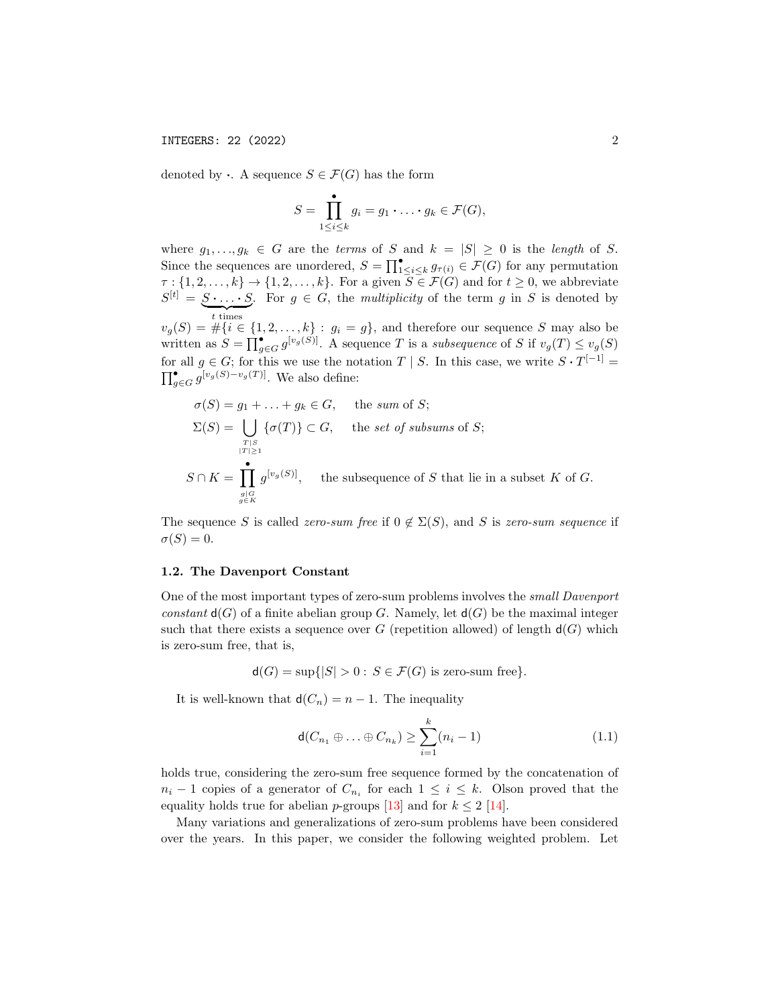denoted by  $\cdot$ . A sequence  $S \in \mathcal{F}(G)$  has the form

$$
S = \prod_{1 \leq i \leq k}^{\bullet} g_i = g_1 \cdot \ldots \cdot g_k \in \mathcal{F}(G),
$$

where  $g_1, \ldots, g_k \in G$  are the terms of S and  $k = |S| \geq 0$  is the length of S. Since the sequences are unordered,  $S = \prod_{1 \leq i \leq k}^{\bullet} g_{\tau(i)} \in \mathcal{F}(G)$  for any permutation  $\tau : \{1, 2, \ldots, k\} \to \{1, 2, \ldots, k\}.$  For a given  $S \in \mathcal{F}(G)$  and for  $t \geq 0$ , we abbreviate  $S^{[t]} = S \cdot \ldots \cdot S$ . For  $g \in G$ , the multiplicity of the term g in S is denoted by  $t$  times  $v_g(S) = \#\{i \in \{1, 2, \ldots, k\} : g_i = g\}$ , and therefore our sequence S may also be written as  $S = \prod_{g \in G}^{\bullet} g^{[v_g(S)]}$ . A sequence T is a *subsequence* of S if  $v_g(T) \le v_g(S)$ for all  $g \in G$ ; for this we use the notation  $T \mid S$ . In this case, we write  $S \cdot T^{[-1]} =$  $\prod_{g\in G}^{\bullet} g^{[v_g(S)-v_g(T)]}$ . We also define:

$$
\sigma(S) = g_1 + \dots + g_k \in G, \quad \text{the sum of } S;
$$
  
\n
$$
\Sigma(S) = \bigcup_{\substack{T \mid S \\ |T| \ge 1}} {\{\sigma(T)\}} \subset G, \quad \text{the set of subsums of } S;
$$
  
\n
$$
S \cap K = \prod_{\substack{g \mid G \\ g \in K}} g^{[v_g(S)]}, \quad \text{the subsequence of } S \text{ that lie in a subset } K \text{ of } G.
$$

The sequence S is called zero-sum free if  $0 \notin \Sigma(S)$ , and S is zero-sum sequence if  $\sigma(S) = 0.$ 

# 1.2. The Davenport Constant

One of the most important types of zero-sum problems involves the small Davenport constant  $d(G)$  of a finite abelian group G. Namely, let  $d(G)$  be the maximal integer such that there exists a sequence over G (repetition allowed) of length  $d(G)$  which is zero-sum free, that is,

 $d(G) = \sup\{|S| > 0 : S \in \mathcal{F}(G) \text{ is zero-sum free}\}.$ 

It is well-known that  $d(C_n) = n - 1$ . The inequality

<span id="page-1-0"></span>
$$
\mathsf{d}(C_{n_1} \oplus \ldots \oplus C_{n_k}) \ge \sum_{i=1}^k (n_i - 1) \tag{1.1}
$$

holds true, considering the zero-sum free sequence formed by the concatenation of  $n_i - 1$  copies of a generator of  $C_{n_i}$  for each  $1 \leq i \leq k$ . Olson proved that the equality holds true for abelian p-groups [\[13\]](#page-17-1) and for  $k \leq 2$  [\[14\]](#page-17-2).

Many variations and generalizations of zero-sum problems have been considered over the years. In this paper, we consider the following weighted problem. Let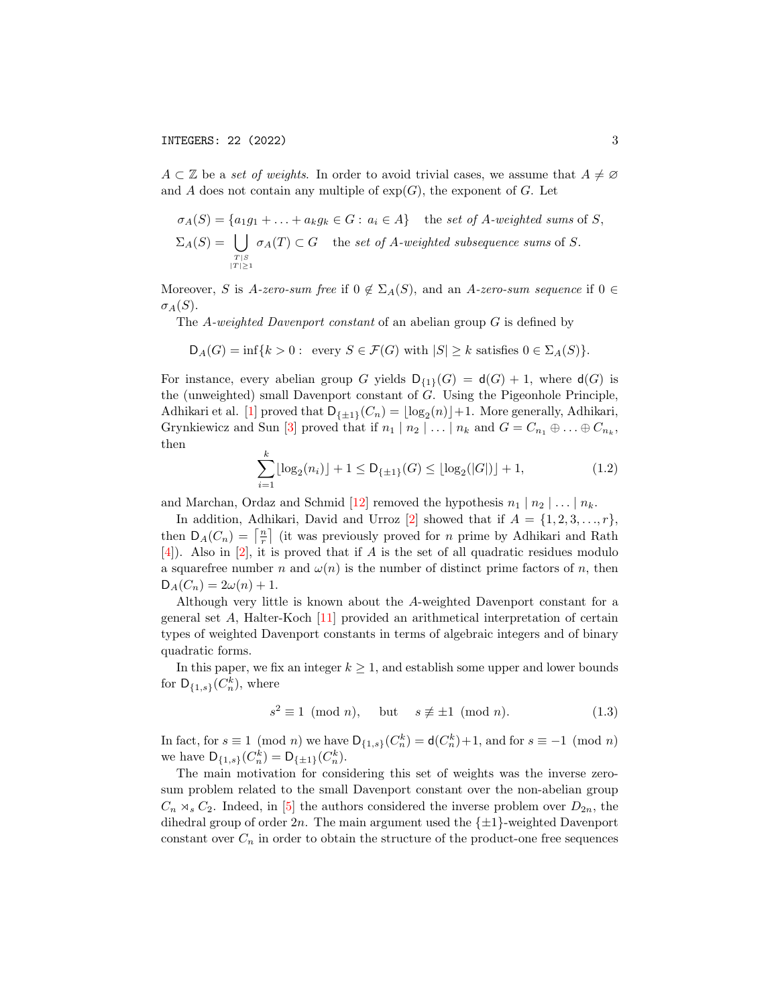$A \subset \mathbb{Z}$  be a set of weights. In order to avoid trivial cases, we assume that  $A \neq \emptyset$ and A does not contain any multiple of  $exp(G)$ , the exponent of G. Let

$$
\sigma_A(S) = \{a_1g_1 + \dots + a_kg_k \in G : a_i \in A\} \text{ the set of } A\text{-weighted sums of } S,
$$
  

$$
\Sigma_A(S) = \bigcup_{T|S \atop |T|>1} \sigma_A(T) \subset G \text{ the set of } A\text{-weighted subsequence sums of } S.
$$

Moreover, S is A-zero-sum free if  $0 \notin \Sigma_A(S)$ , and an A-zero-sum sequence if  $0 \in$  $\sigma_A(S)$ .

The A-weighted Davenport constant of an abelian group G is defined by

$$
\mathsf{D}_A(G) = \inf\{k > 0 : \text{ every } S \in \mathcal{F}(G) \text{ with } |S| \ge k \text{ satisfies } 0 \in \Sigma_A(S)\}.
$$

For instance, every abelian group G yields  $D_{\{1\}}(G) = d(G) + 1$ , where  $d(G)$  is the (unweighted) small Davenport constant of G. Using the Pigeonhole Principle, Adhikari et al. [\[1\]](#page-17-3) proved that  $D_{\{\pm 1\}}(C_n) = \lfloor \log_2(n) \rfloor + 1$ . More generally, Adhikari, Grynkiewicz and Sun [\[3\]](#page-17-4) proved that if  $n_1 | n_2 | \ldots | n_k$  and  $G = C_{n_1} \oplus \ldots \oplus C_{n_k}$ , then

$$
\sum_{i=1}^{k} \lfloor \log_2(n_i) \rfloor + 1 \le D_{\{\pm 1\}}(G) \le \lfloor \log_2(|G|) \rfloor + 1, \tag{1.2}
$$

and Marchan, Ordaz and Schmid [\[12\]](#page-17-5) removed the hypothesis  $n_1 | n_2 | \ldots | n_k$ .

In addition, Adhikari, David and Urroz [\[2\]](#page-17-6) showed that if  $A = \{1, 2, 3, \ldots, r\},\$ then  $D_A(C_n) = \lceil \frac{n}{r} \rceil$  (it was previously proved for *n* prime by Adhikari and Rath  $[4]$ ). Also in  $[2]$ , it is proved that if A is the set of all quadratic residues modulo a squarefree number n and  $\omega(n)$  is the number of distinct prime factors of n, then  $D_A(C_n) = 2\omega(n) + 1.$ 

Although very little is known about the A-weighted Davenport constant for a general set A, Halter-Koch [\[11\]](#page-17-8) provided an arithmetical interpretation of certain types of weighted Davenport constants in terms of algebraic integers and of binary quadratic forms.

In this paper, we fix an integer  $k \geq 1$ , and establish some upper and lower bounds for  $\mathsf{D}_{\{1,s\}}(C_n^k)$ , where

<span id="page-2-0"></span>
$$
s^2 \equiv 1 \pmod{n}, \quad \text{but} \quad s \not\equiv \pm 1 \pmod{n}. \tag{1.3}
$$

In fact, for  $s \equiv 1 \pmod{n}$  we have  $\mathsf{D}_{\{1,s\}}(C_n^k) = \mathsf{d}(C_n^k) + 1$ , and for  $s \equiv -1 \pmod{n}$ we have  $D_{\{1,s\}}(C_n^k) = D_{\{\pm 1\}}(C_n^k)$ .

The main motivation for considering this set of weights was the inverse zerosum problem related to the small Davenport constant over the non-abelian group  $C_n \rtimes_s C_2$ . Indeed, in [\[5\]](#page-17-9) the authors considered the inverse problem over  $D_{2n}$ , the dihedral group of order  $2n$ . The main argument used the  $\{\pm 1\}$ -weighted Davenport constant over  $C_n$  in order to obtain the structure of the product-one free sequences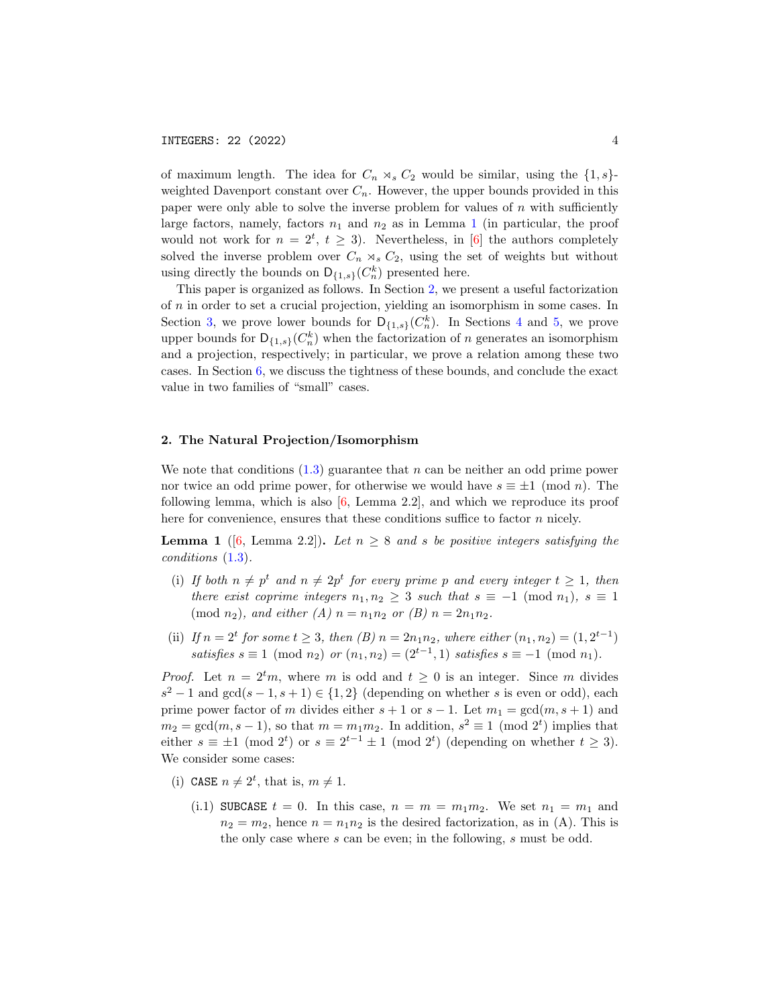of maximum length. The idea for  $C_n \rtimes_s C_2$  would be similar, using the  $\{1, s\}$ weighted Davenport constant over  $C_n$ . However, the upper bounds provided in this paper were only able to solve the inverse problem for values of  $n$  with sufficiently large factors, namely, factors  $n_1$  $n_1$  and  $n_2$  as in Lemma 1 (in particular, the proof would not work for  $n = 2^t$ ,  $t \geq 3$ ). Nevertheless, in [\[6\]](#page-17-10) the authors completely solved the inverse problem over  $C_n \rtimes_s C_2$ , using the set of weights but without using directly the bounds on  $\mathsf{D}_{\{1,s\}}(C_n^k)$  presented here.

This paper is organized as follows. In Section [2,](#page-3-1) we present a useful factorization of n in order to set a crucial projection, yielding an isomorphism in some cases. In Section [3,](#page-5-0) we prove lower bounds for  $D_{\{1,s\}}(C_n^k)$ . In Sections [4](#page-6-0) and [5,](#page-11-0) we prove upper bounds for  $\mathsf{D}_{\{1,s\}}(C_n^k)$  when the factorization of n generates an isomorphism and a projection, respectively; in particular, we prove a relation among these two cases. In Section [6,](#page-13-0) we discuss the tightness of these bounds, and conclude the exact value in two families of "small" cases.

# <span id="page-3-1"></span>2. The Natural Projection/Isomorphism

We note that conditions  $(1.3)$  guarantee that n can be neither an odd prime power nor twice an odd prime power, for otherwise we would have  $s \equiv \pm 1 \pmod{n}$ . The following lemma, which is also [\[6,](#page-17-10) Lemma 2.2], and which we reproduce its proof here for convenience, ensures that these conditions suffice to factor  $n$  nicely.

<span id="page-3-0"></span>**Lemma 1** ([\[6,](#page-17-10) Lemma 2.2]). Let  $n \geq 8$  and s be positive integers satisfying the conditions [\(1.3\)](#page-2-0).

- (i) If both  $n \neq p^t$  and  $n \neq 2p^t$  for every prime p and every integer  $t \geq 1$ , then there exist coprime integers  $n_1, n_2 \geq 3$  such that  $s \equiv -1 \pmod{n_1}$ ,  $s \equiv 1$  $\pmod{n_2}$ , and either  $(A)$   $n = n_1 n_2$  or  $(B)$   $n = 2n_1 n_2$ .
- (ii) If  $n = 2^t$  for some  $t \ge 3$ , then  $(B)$   $n = 2n_1n_2$ , where either  $(n_1, n_2) = (1, 2^{t-1})$ satisfies  $s \equiv 1 \pmod{n_2}$  or  $(n_1, n_2) = (2^{t-1}, 1)$  satisfies  $s \equiv -1 \pmod{n_1}$ .

*Proof.* Let  $n = 2^t m$ , where m is odd and  $t \geq 0$  is an integer. Since m divides  $s^2 - 1$  and  $gcd(s - 1, s + 1) \in \{1, 2\}$  (depending on whether s is even or odd), each prime power factor of m divides either  $s + 1$  or  $s - 1$ . Let  $m_1 = \gcd(m, s + 1)$  and  $m_2 = \gcd(m, s-1)$ , so that  $m = m_1 m_2$ . In addition,  $s^2 \equiv 1 \pmod{2^t}$  implies that either  $s \equiv \pm 1 \pmod{2^t}$  or  $s \equiv 2^{t-1} \pm 1 \pmod{2^t}$  (depending on whether  $t \geq 3$ ). We consider some cases:

- (i) CASE  $n \neq 2^t$ , that is,  $m \neq 1$ .
	- (i.1) SUBCASE  $t = 0$ . In this case,  $n = m = m_1 m_2$ . We set  $n_1 = m_1$  and  $n_2 = m_2$ , hence  $n = n_1 n_2$  is the desired factorization, as in (A). This is the only case where  $s$  can be even; in the following,  $s$  must be odd.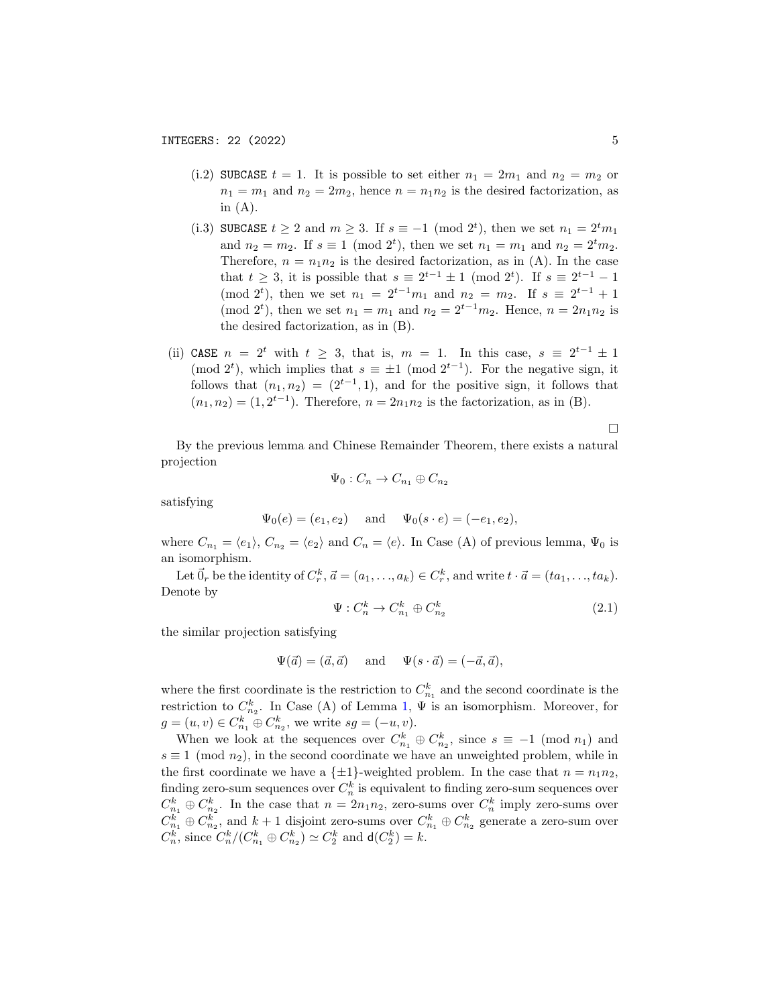- (i.2) SUBCASE  $t = 1$ . It is possible to set either  $n_1 = 2m_1$  and  $n_2 = m_2$  or  $n_1 = m_1$  and  $n_2 = 2m_2$ , hence  $n = n_1 n_2$  is the desired factorization, as in  $(A)$ .
- (i.3) SUBCASE  $t \geq 2$  and  $m \geq 3$ . If  $s \equiv -1 \pmod{2^t}$ , then we set  $n_1 = 2^t m_1$ and  $n_2 = m_2$ . If  $s \equiv 1 \pmod{2^t}$ , then we set  $n_1 = m_1$  and  $n_2 = 2^t m_2$ . Therefore,  $n = n_1 n_2$  is the desired factorization, as in (A). In the case that  $t \geq 3$ , it is possible that  $s \equiv 2^{t-1} \pm 1 \pmod{2^t}$ . If  $s \equiv 2^{t-1} - 1$ (mod 2<sup>t</sup>), then we set  $n_1 = 2^{t-1}m_1$  and  $n_2 = m_2$ . If  $s \equiv 2^{t-1} + 1$ (mod 2<sup>t</sup>), then we set  $n_1 = m_1$  and  $n_2 = 2^{t-1}m_2$ . Hence,  $n = 2n_1n_2$  is the desired factorization, as in (B).
- (ii) CASE  $n = 2^t$  with  $t \geq 3$ , that is,  $m = 1$ . In this case,  $s \equiv 2^{t-1} \pm 1$ (mod 2<sup>t</sup>), which implies that  $s \equiv \pm 1 \pmod{2^{t-1}}$ . For the negative sign, it follows that  $(n_1, n_2) = (2^{t-1}, 1)$ , and for the positive sign, it follows that  $(n_1, n_2) = (1, 2^{t-1})$ . Therefore,  $n = 2n_1n_2$  is the factorization, as in (B).

 $\Box$ 

By the previous lemma and Chinese Remainder Theorem, there exists a natural projection

$$
\Psi_0: C_n \to C_{n_1} \oplus C_{n_2}
$$

satisfying

$$
\Psi_0(e) = (e_1, e_2)
$$
 and  $\Psi_0(s \cdot e) = (-e_1, e_2)$ ,

where  $C_{n_1} = \langle e_1 \rangle$ ,  $C_{n_2} = \langle e_2 \rangle$  and  $C_n = \langle e \rangle$ . In Case (A) of previous lemma,  $\Psi_0$  is an isomorphism.

Let  $\vec{0}_r$  be the identity of  $C_r^k$ ,  $\vec{a} = (a_1, \ldots, a_k) \in C_r^k$ , and write  $t \cdot \vec{a} = (ta_1, \ldots, ta_k)$ . Denote by

<span id="page-4-0"></span>
$$
\Psi: C_n^k \to C_{n_1}^k \oplus C_{n_2}^k \tag{2.1}
$$

the similar projection satisfying

$$
\Psi(\vec{a}) = (\vec{a}, \vec{a}) \quad \text{and} \quad \Psi(s \cdot \vec{a}) = (-\vec{a}, \vec{a}),
$$

where the first coordinate is the restriction to  $C_{n_1}^k$  and the second coordinate is the restriction to  $C_{n_2}^k$ . In Case (A) of Lemma [1,](#page-3-0)  $\Psi$  is an isomorphism. Moreover, for  $g = (u, v) \in C_{n_1}^k \oplus C_{n_2}^k$ , we write  $sg = (-u, v)$ .

When we look at the sequences over  $C_{n_1}^k \oplus C_{n_2}^k$ , since  $s \equiv -1 \pmod{n_1}$  and  $s \equiv 1 \pmod{n_2}$ , in the second coordinate we have an unweighted problem, while in the first coordinate we have a  $\{\pm 1\}$ -weighted problem. In the case that  $n = n_1 n_2$ , finding zero-sum sequences over  $C_n^k$  is equivalent to finding zero-sum sequences over  $C_{n_1}^k \oplus C_{n_2}^k$ . In the case that  $n = 2n_1n_2$ , zero-sums over  $C_n^k$  imply zero-sums over  $C_{n_1}^k \oplus C_{n_2}^k$ , and  $k+1$  disjoint zero-sums over  $C_{n_1}^k \oplus C_{n_2}^k$  generate a zero-sum over  $C_n^k$ , since  $C_n^k / (C_{n_1}^k \oplus C_{n_2}^k) \simeq C_2^k$  and  $d(C_2^k) = k$ .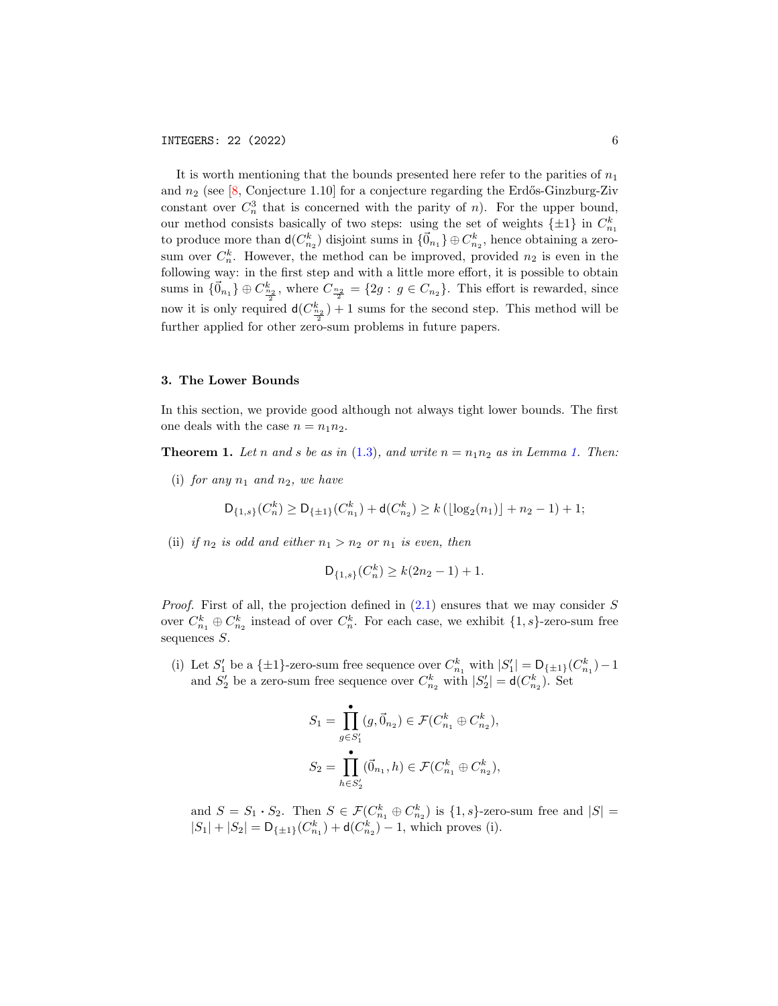It is worth mentioning that the bounds presented here refer to the parities of  $n_1$ and  $n_2$  (see [\[8,](#page-17-11) Conjecture 1.10] for a conjecture regarding the Erdős-Ginzburg-Ziv constant over  $C_n^3$  that is concerned with the parity of n). For the upper bound, our method consists basically of two steps: using the set of weights  $\{\pm 1\}$  in  $C_{n_1}^k$ to produce more than  $d(C_{n_2}^k)$  disjoint sums in  $\{\vec{0}_{n_1}\}\oplus C_{n_2}^k$ , hence obtaining a zerosum over  $C_n^k$ . However, the method can be improved, provided  $n_2$  is even in the following way: in the first step and with a little more effort, it is possible to obtain sums in  $\{\vec{0}_{n_1}\}\oplus C_{\frac{n_2}{2}}^k$ , where  $C_{\frac{n_2}{2}} = \{2g : g \in C_{n_2}\}\.$  This effort is rewarded, since now it is only required  $d(C_{\frac{n_2}{2}}^k) + 1$  sums for the second step. This method will be further applied for other zero-sum problems in future papers.

#### <span id="page-5-0"></span>3. The Lower Bounds

In this section, we provide good although not always tight lower bounds. The first one deals with the case  $n = n_1 n_2$ .

<span id="page-5-1"></span>**Theorem [1.](#page-3-0)** Let n and s be as in [\(1.3\)](#page-2-0), and write  $n = n_1 n_2$  as in Lemma 1. Then:

(i) for any  $n_1$  and  $n_2$ , we have

$$
\mathsf{D}_{\{1,s\}}(C_n^k) \ge \mathsf{D}_{\{\pm 1\}}(C_{n_1}^k) + \mathsf{d}(C_{n_2}^k) \ge k\left(\lfloor \log_2(n_1) \rfloor + n_2 - 1\right) + 1;
$$

(ii) if  $n_2$  is odd and either  $n_1 > n_2$  or  $n_1$  is even, then

$$
\mathsf{D}_{\{1,s\}}(C_n^k) \ge k(2n_2 - 1) + 1.
$$

*Proof.* First of all, the projection defined in  $(2.1)$  ensures that we may consider S over  $C_{n_1}^k \oplus C_{n_2}^k$  instead of over  $C_n^k$ . For each case, we exhibit  $\{1, s\}$ -zero-sum free sequences  $S$ .

(i) Let  $S'_1$  be a  $\{\pm 1\}$ -zero-sum free sequence over  $C_{n_1}^k$  with  $|S'_1| = \mathsf{D}_{\{\pm 1\}}(C_{n_1}^k) - 1$ and  $S'_2$  be a zero-sum free sequence over  $C_{n_2}^k$  with  $|S'_2| = d(C_{n_2}^k)$ . Set

$$
S_1 = \prod_{g \in S'_1}^{\bullet} (g, \vec{0}_{n_2}) \in \mathcal{F}(C_{n_1}^k \oplus C_{n_2}^k),
$$
  

$$
S_2 = \prod_{h \in S'_2}^{\bullet} (\vec{0}_{n_1}, h) \in \mathcal{F}(C_{n_1}^k \oplus C_{n_2}^k),
$$

and  $S = S_1 \cdot S_2$ . Then  $S \in \mathcal{F}(C_{n_1}^k \oplus C_{n_2}^k)$  is  $\{1, s\}$ -zero-sum free and  $|S|$  =  $|S_1| + |S_2| = D_{\{\pm 1\}}(C_{n_1}^k) + d(C_{n_2}^k) - 1$ , which proves (i).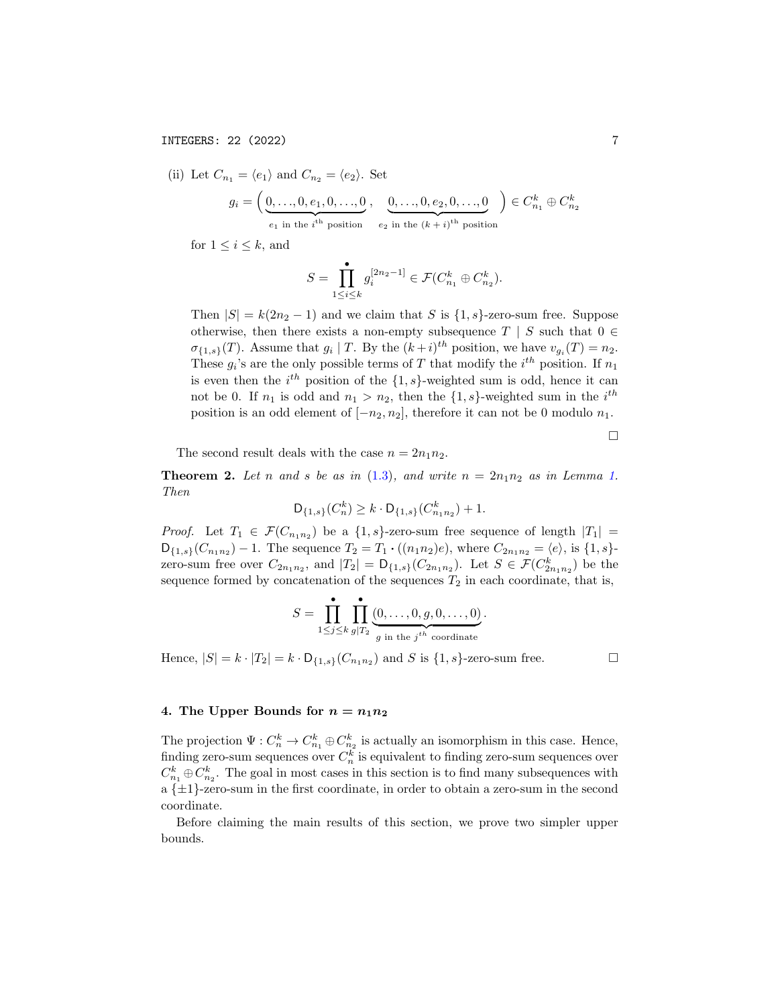(ii) Let 
$$
C_{n_1} = \langle e_1 \rangle
$$
 and  $C_{n_2} = \langle e_2 \rangle$ . Set  
\n
$$
g_i = \left( \underbrace{0, \ldots, 0, e_1, 0, \ldots, 0}_{e_1 \text{ in the } i^{\text{th}}} , \underbrace{0, \ldots, 0, e_2, 0, \ldots, 0}_{e_2 \text{ in the } (k+i)^{\text{th}} \text{ position}} \right) \in C_{n_1}^k \oplus C_{n_2}^k
$$

for  $1 \leq i \leq k$ , and

$$
S = \prod_{1 \leq i \leq k}^{\bullet} g_i^{[2n_2 - 1]} \in \mathcal{F}(C_{n_1}^k \oplus C_{n_2}^k).
$$

Then  $|S| = k(2n_2 - 1)$  and we claim that S is  $\{1, s\}$ -zero-sum free. Suppose otherwise, then there exists a non-empty subsequence  $T \mid S$  such that  $0 \in$  $\sigma_{\{1,s\}}(T)$ . Assume that  $g_i \mid T$ . By the  $(k+i)^{th}$  position, we have  $v_{g_i}(T) = n_2$ . These  $g_i$ 's are the only possible terms of T that modify the  $i^{th}$  position. If  $n_1$ is even then the  $i^{th}$  position of the  $\{1, s\}$ -weighted sum is odd, hence it can not be 0. If  $n_1$  is odd and  $n_1 > n_2$ , then the  $\{1, s\}$ -weighted sum in the  $i^{th}$ position is an odd element of  $[-n_2, n_2]$ , therefore it can not be 0 modulo  $n_1$ .

 $\Box$ 

The second result deals with the case  $n = 2n_1n_2$ .

<span id="page-6-1"></span>**Theorem 2.** Let n and s be as in [\(1.3\)](#page-2-0), and write  $n = 2n_1n_2$  as in Lemma [1.](#page-3-0) Then

$$
\mathsf{D}_{\{1,s\}}(C_n^k) \ge k \cdot \mathsf{D}_{\{1,s\}}(C_{n_1n_2}^k) + 1.
$$

*Proof.* Let  $T_1 \in \mathcal{F}(C_{n_1n_2})$  be a  $\{1,s\}$ -zero-sum free sequence of length  $|T_1|$  =  $D_{\{1,s\}}(C_{n_1n_2}) - 1$ . The sequence  $T_2 = T_1 \cdot ((n_1n_2)e)$ , where  $C_{2n_1n_2} = \langle e \rangle$ , is  $\{1,s\}$ zero-sum free over  $C_{2n_1n_2}$ , and  $|T_2| = \mathsf{D}_{\{1,s\}}(C_{2n_1n_2})$ . Let  $S \in \mathcal{F}(C_{2n_1n_2})$  be the sequence formed by concatenation of the sequences  $T_2$  in each coordinate, that is,

$$
S = \prod_{1 \leq j \leq k}^{\bullet} \prod_{g \mid T_2}^{\bullet} \underbrace{(0, \ldots, 0, g, 0, \ldots, 0)}_{g \text{ in the } j^{th} \text{ coordinate}}.
$$

Hence,  $|S| = k \cdot |T_2| = k \cdot D_{\{1,s\}}(C_{n_1n_2})$  and S is  $\{1,s\}$ -zero-sum free.

# <span id="page-6-0"></span>4. The Upper Bounds for  $n = n_1 n_2$

The projection  $\Psi: C_n^k \to C_{n_1}^k \oplus C_{n_2}^k$  is actually an isomorphism in this case. Hence, finding zero-sum sequences over  $C_n^k$  is equivalent to finding zero-sum sequences over  $C_{n_1}^k \oplus C_{n_2}^k$ . The goal in most cases in this section is to find many subsequences with a  $\{\pm 1\}$ -zero-sum in the first coordinate, in order to obtain a zero-sum in the second coordinate.

Before claiming the main results of this section, we prove two simpler upper bounds.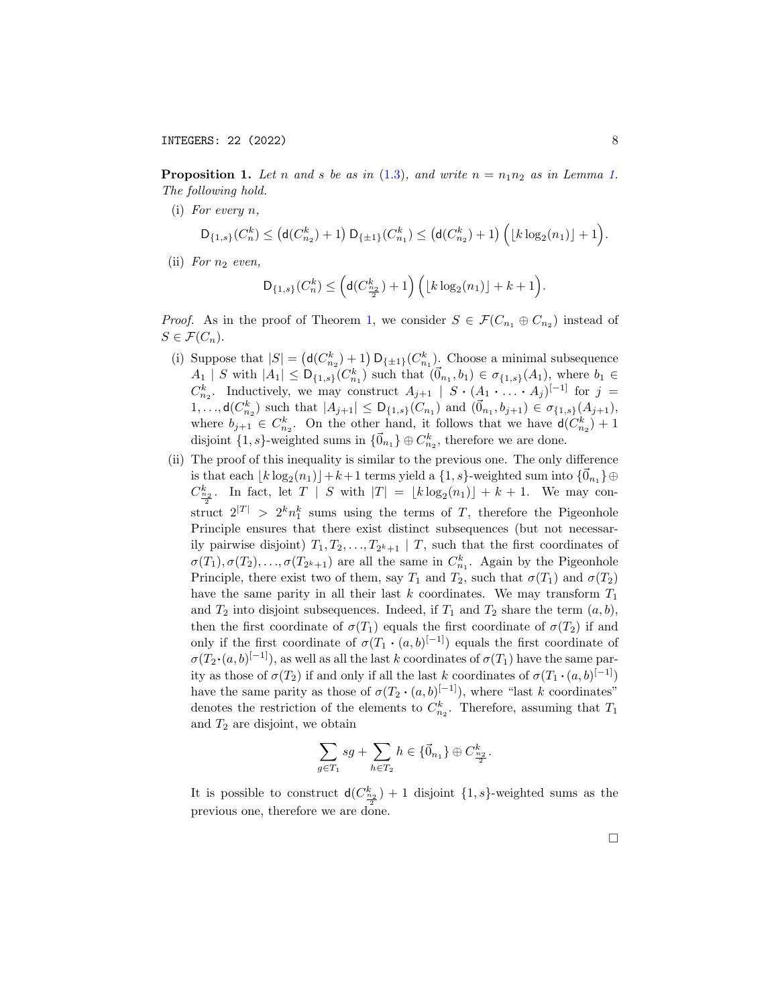<span id="page-7-0"></span>**Proposition [1.](#page-3-0)** Let n and s be as in [\(1.3\)](#page-2-0), and write  $n = n_1 n_2$  as in Lemma 1. The following hold.

(i) For every n,

$$
\mathsf{D}_{\{1,s\}}(C_n^k) \leq \left(\mathsf{d}(C_{n_2}^k) + 1\right) \mathsf{D}_{\{\pm 1\}}(C_{n_1}^k) \leq \left(\mathsf{d}(C_{n_2}^k) + 1\right) \Big( \lfloor k \log_2(n_1) \rfloor + 1 \Big).
$$

(ii) For  $n_2$  even,

$$
\mathsf{D}_{\{1,s\}}(C_n^k) \leq \Big(\mathsf{d}(C_{\frac{n_2}{2}}^k)+1\Big)\,\Big(\lfloor k\log_2(n_1)\rfloor + k + 1\Big).
$$

*Proof.* As in the proof of Theorem [1,](#page-5-1) we consider  $S \in \mathcal{F}(C_{n_1} \oplus C_{n_2})$  instead of  $S \in \mathcal{F}(C_n)$ .

- (i) Suppose that  $|S| = (d(C_{n_2}^k) + 1) D_{\{\pm 1\}}(C_{n_1}^k)$ . Choose a minimal subsequence  $A_1 | S$  with  $|A_1| \leq D_{\{1,s\}}(C_{n_1}^k)$  such that  $(\vec{0}_{n_1}, b_1) \in \sigma_{\{1,s\}}(A_1)$ , where  $b_1 \in$  $C_{n_2}^k$ . Inductively, we may construct  $A_{j+1} \mid S \cdot (A_1 \cdot \ldots \cdot A_j)^{[-1]}$  for  $j =$  $1, \ldots, \mathsf{d}(C_{n_2}^k)$  such that  $|A_{j+1}| \leq \mathsf{D}_{\{1,s\}}(C_{n_1})$  and  $(\vec{0}_{n_1}, b_{j+1}) \in \sigma_{\{1,s\}}(A_{j+1}),$ where  $b_{j+1} \in C_{n_2}^k$ . On the other hand, it follows that we have  $d(C_{n_2}^k) + 1$ disjoint  ${1, s}$ -weighted sums in  ${\{\vec{0}_{n_1}\}\oplus C_{n_2}^k}$ , therefore we are done.
- (ii) The proof of this inequality is similar to the previous one. The only difference is that each  $\lfloor k \log_2(n_1) \rfloor + k + 1$  terms yield a  $\{1, s\}$ -weighted sum into  $\{\vec{0}_{n_1}\}\oplus$  $C_{\frac{n_2}{2}}^k$ . In fact, let  $T \mid S$  with  $|T| = \lfloor k \log_2(n_1) \rfloor + k + 1$ . We may construct  $2^{|T|} > 2^k n_1^k$  sums using the terms of T, therefore the Pigeonhole Principle ensures that there exist distinct subsequences (but not necessarily pairwise disjoint)  $T_1, T_2, \ldots, T_{2^k+1} \mid T$ , such that the first coordinates of  $\sigma(T_1), \sigma(T_2), \ldots, \sigma(T_{2^k+1})$  are all the same in  $C_{n_1}^k$ . Again by the Pigeonhole Principle, there exist two of them, say  $T_1$  and  $T_2$ , such that  $\sigma(T_1)$  and  $\sigma(T_2)$ have the same parity in all their last  $k$  coordinates. We may transform  $T_1$ and  $T_2$  into disjoint subsequences. Indeed, if  $T_1$  and  $T_2$  share the term  $(a, b)$ , then the first coordinate of  $\sigma(T_1)$  equals the first coordinate of  $\sigma(T_2)$  if and only if the first coordinate of  $\sigma(T_1 \cdot (a, b)^{[-1]})$  equals the first coordinate of  $\sigma(T_2 \cdot (a, b)^{[-1]})$ , as well as all the last k coordinates of  $\sigma(T_1)$  have the same parity as those of  $\sigma(T_2)$  if and only if all the last k coordinates of  $\sigma(T_1 \cdot (a, b)^{[-1]})$ have the same parity as those of  $\sigma(T_2 \cdot (a, b)^{[-1]})$ , where "last k coordinates" denotes the restriction of the elements to  $C_{n_2}^k$ . Therefore, assuming that  $T_1$ and  $T_2$  are disjoint, we obtain

$$
\sum_{g \in T_1} s g + \sum_{h \in T_2} h \in \{\vec{0}_{n_1}\} \oplus C_{\frac{n_2}{2}}^k.
$$

It is possible to construct  $d(C_{\frac{n_2}{2}}^k) + 1$  disjoint  $\{1, s\}$ -weighted sums as the previous one, therefore we are done.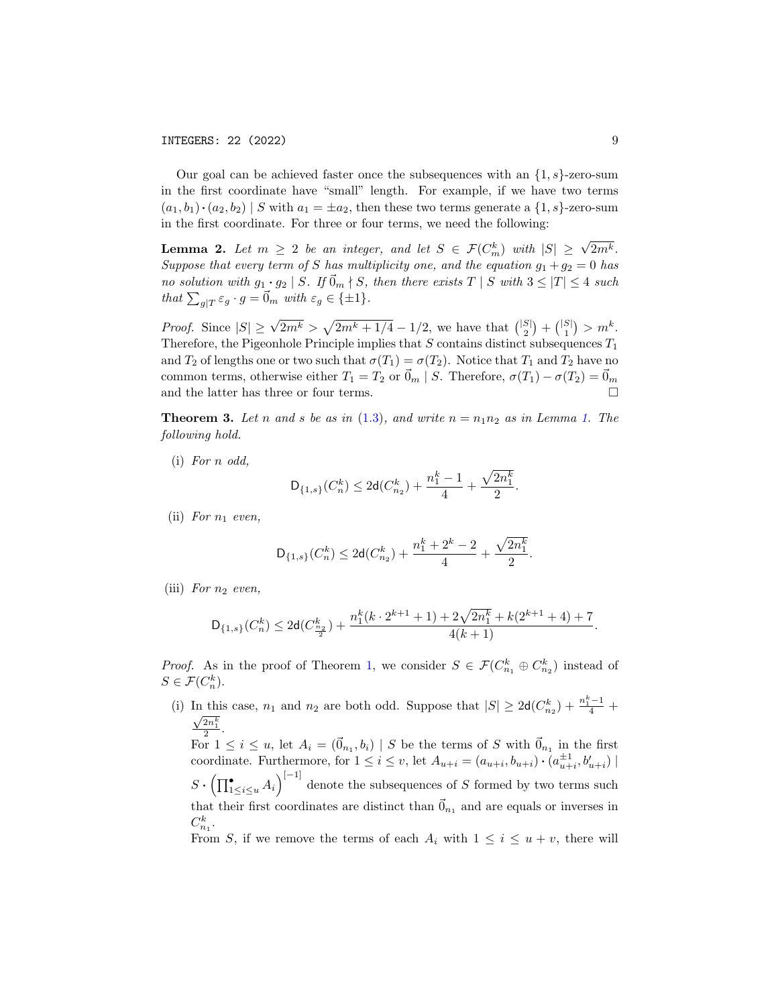Our goal can be achieved faster once the subsequences with an  $\{1, s\}$ -zero-sum in the first coordinate have "small" length. For example, if we have two terms  $(a_1, b_1) \cdot (a_2, b_2) \mid S$  with  $a_1 = \pm a_2$ , then these two terms generate a  $\{1, s\}$ -zero-sum in the first coordinate. For three or four terms, we need the following:

<span id="page-8-0"></span>**Lemma 2.** Let  $m \geq 2$  be an integer, and let  $S \in \mathcal{F}(C_m^k)$  with  $|S| \geq \sqrt{2m^k}$ . Suppose that every term of S has multiplicity one, and the equation  $g_1 + g_2 = 0$  has no solution with  $g_1 \cdot g_2 \mid S$ . If  $\vec{0}_m \nmid S$ , then there exists  $T \mid S$  with  $3 \leq |T| \leq 4$  such that  $\sum_{g|T} \varepsilon_g \cdot g = \vec{0}_m$  with  $\varepsilon_g \in {\pm 1}$ .

*Proof.* Since  $|S| \ge \sqrt{2m^k} > \sqrt{2m^k + 1/4} - 1/2$ , we have that  ${|S| \choose 2} + {|S| \choose 1} > m^k$ . Therefore, the Pigeonhole Principle implies that  $S$  contains distinct subsequences  $T_1$ and  $T_2$  of lengths one or two such that  $\sigma(T_1) = \sigma(T_2)$ . Notice that  $T_1$  and  $T_2$  have no common terms, otherwise either  $T_1 = T_2$  or  $\vec{0}_m \mid S$ . Therefore,  $\sigma(T_1) - \sigma(T_2) = \vec{0}_m$ and the latter has three or four terms.

<span id="page-8-1"></span>**Theorem 3.** Let n and s be as in [\(1.3\)](#page-2-0), and write  $n = n_1 n_2$  as in Lemma [1.](#page-3-0) The following hold.

(i) For n odd,

$$
\mathsf{D}_{\{1,s\}}(C_n^k) \leq 2\mathsf{d}(C_{n_2}^k) + \frac{n_1^k - 1}{4} + \frac{\sqrt{2n_1^k}}{2}
$$

.

(ii) For  $n_1$  even,

$$
\mathsf{D}_{\{1,s\}}(C_n^k) \leq 2\mathsf{d}(C_{n_2}^k) + \frac{n_1^k + 2^k - 2}{4} + \frac{\sqrt{2n_1^k}}{2}.
$$

(iii) For  $n_2$  even,

$$
\mathsf{D}_{\{1,s\}}(C_n^k) \leq 2\mathsf{d}(C_{\frac{n_2}{2}}^k) + \frac{n_1^k(k \cdot 2^{k+1} + 1) + 2\sqrt{2n_1^k} + k(2^{k+1} + 4) + 7}{4(k+1)}.
$$

*Proof.* As in the proof of Theorem [1,](#page-5-1) we consider  $S \in \mathcal{F}(C_{n_1}^k \oplus C_{n_2}^k)$  instead of  $S \in \mathcal{F}(C_n^k)$ .

(i) In this case,  $n_1$  and  $n_2$  are both odd. Suppose that  $|S| \geq 2d(C_{n_2}^k) + \frac{n_1^k-1}{4}$  $\frac{2n_1^k}{2}$ .

For  $1 \leq i \leq u$ , let  $A_i = (\vec{0}_{n_1}, b_i) | S$  be the terms of S with  $\vec{0}_{n_1}$  in the first coordinate. Furthermore, for  $1 \leq i \leq v$ , let  $A_{u+i} = (a_{u+i}, b_{u+i}) \cdot (a_{u+i}^{\pm 1}, b'_{u+i})$  $u+i, v_{u+i}$  $S \cdot \left( \prod_{1 \leq i \leq u}^{\bullet} A_i \right)^{[-1]}$  denote the subsequences of S formed by two terms such that their first coordinates are distinct than  $\vec{0}_{n_1}$  and are equals or inverses in  $C_{n_1}^k$ .

From S, if we remove the terms of each  $A_i$  with  $1 \leq i \leq u+v$ , there will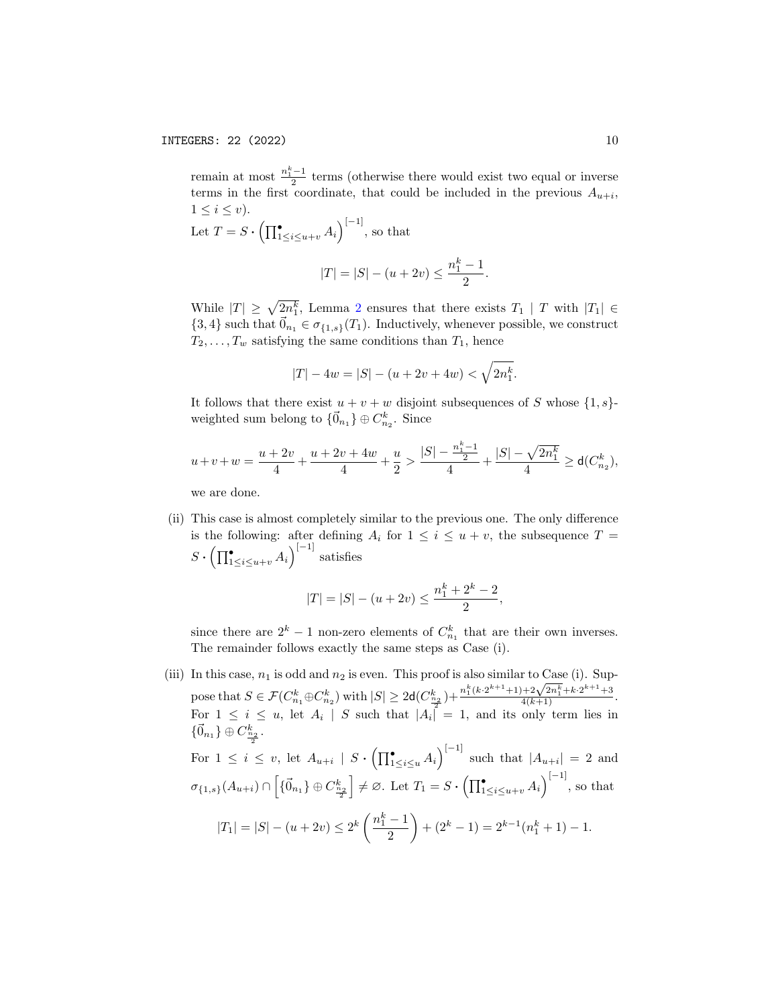remain at most  $\frac{n_1^k-1}{2}$  terms (otherwise there would exist two equal or inverse terms in the first coordinate, that could be included in the previous  $A_{u+i}$ ,  $1 \leq i \leq v$ .

Let  $T = S \cdot \left( \prod_{1 \leq i \leq u+v}^{\bullet} A_i \right)^{[-1]}$ , so that

$$
|T| = |S| - (u + 2v) \le \frac{n_1^k - 1}{2}.
$$

While  $|T| \geq \sqrt{2n_1^k}$  $|T| \geq \sqrt{2n_1^k}$  $|T| \geq \sqrt{2n_1^k}$ , Lemma 2 ensures that there exists  $T_1 | T$  with  $|T_1| \in$  ${3, 4}$  such that  $\vec{0}_{n_1} \in \sigma_{\{1, s\}}(T_1)$ . Inductively, whenever possible, we construct  $T_2, \ldots, T_w$  satisfying the same conditions than  $T_1$ , hence

$$
|T| - 4w = |S| - (u + 2v + 4w) < \sqrt{2n_1^k}.
$$

It follows that there exist  $u + v + w$  disjoint subsequences of S whose  $\{1, s\}$ weighted sum belong to  $\{\vec{0}_{n_1}\}\oplus C_{n_2}^k$ . Since

$$
u+v+w=\frac{u+2v}{4}+\frac{u+2v+4w}{4}+\frac{u}{2}>\frac{|S|-\frac{n_{1}^{k}-1}{2}}{4}+\frac{|S|-\sqrt{2n_{1}^{k}}}{4}\geq d(C_{n_{2}}^{k}),
$$

we are done.

(ii) This case is almost completely similar to the previous one. The only difference is the following: after defining  $A_i$  for  $1 \leq i \leq u + v$ , the subsequence  $T =$  $S \cdot \left( \prod_{1 \leq i \leq u+v}^{\bullet} A_i \right)^{[-1]}$  satisfies

$$
|T| = |S| - (u + 2v) \le \frac{n_1^k + 2^k - 2}{2},
$$

since there are  $2^k - 1$  non-zero elements of  $C_{n_1}^k$  that are their own inverses. The remainder follows exactly the same steps as Case (i).

(iii) In this case,  $n_1$  is odd and  $n_2$  is even. This proof is also similar to Case (i). Sup-In this case,  $n_1$  is odd and  $n_2$  is even. This proof is also similar to Case (1). Sup-<br>pose that  $S \in \mathcal{F}(C_{n_1}^k \oplus C_{n_2}^k)$  with  $|S| \geq 2d(C_{\frac{n_2}{2}}^k) + \frac{n_1^k(k \cdot 2^{k+1}+1) + 2\sqrt{2n_1^k} + k \cdot 2^{k+1} + 3}{4(k+1)}$ . For  $1 \leq i \leq u$ , let  $A_i \mid S$  such that  $|A_i| = 1$ , and its only term lies in  $\{\vec{0}_{n_1}\}\oplus C_{\frac{n_2}{2}}^k.$ 

For 
$$
1 \le i \le v
$$
, let  $A_{u+i} \mid S \cdot (\prod_{1 \le i \le u}^{\bullet} A_i)^{[-1]}$  such that  $|A_{u+i}| = 2$  and  
\n
$$
\sigma_{\{1,s\}}(A_{u+i}) \cap \left[ \{ \vec{0}_{n_1} \} \oplus C_{\frac{n_2}{2}}^{k} \right] \neq \varnothing.
$$
 Let  $T_1 = S \cdot (\prod_{1 \le i \le u+v}^{\bullet} A_i)^{[-1]}$ , so that  
\n
$$
|T_1| = |S| - (u+2v) \le 2^k \left( \frac{n_1^k - 1}{2} \right) + (2^k - 1) = 2^{k-1} (n_1^k + 1) - 1.
$$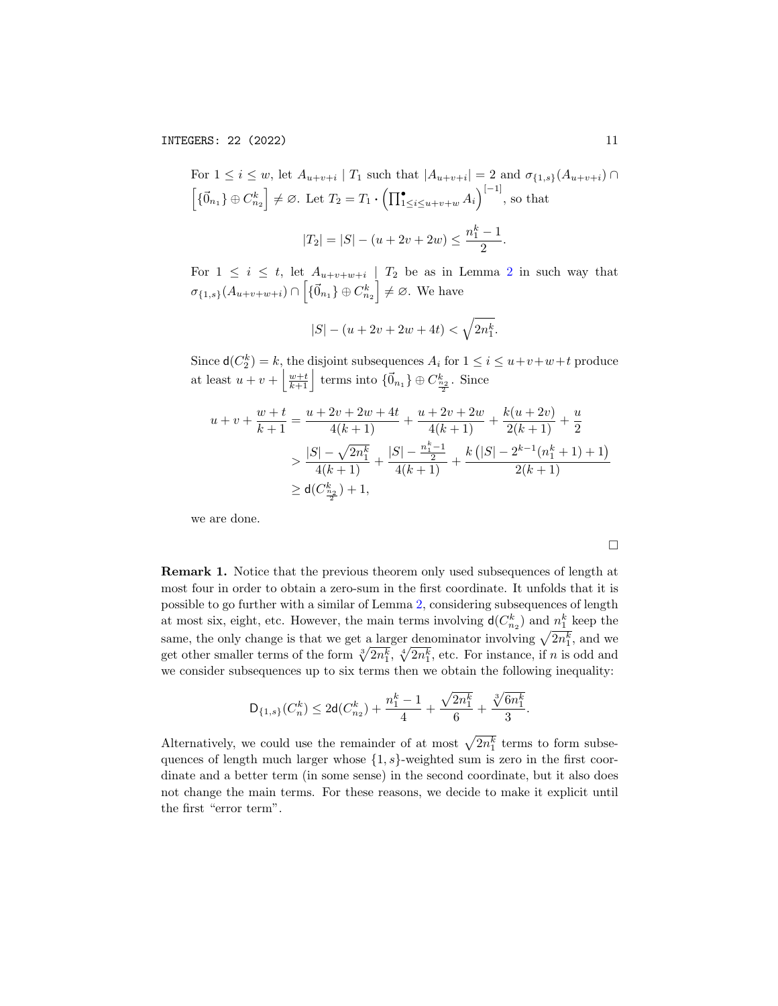For 
$$
1 \le i \le w
$$
, let  $A_{u+v+i} | T_1$  such that  $|A_{u+v+i}| = 2$  and  $\sigma_{\{1,s\}}(A_{u+v+i}) \cap$   
\n $\left[\{\vec{0}_{n_1}\}\oplus C_{n_2}^k\right] \neq \emptyset$ . Let  $T_2 = T_1 \cdot \left(\prod_{1 \le i \le u+v+w}^{\bullet} A_i\right)^{[-1]}$ , so that  
\n $|T_2| = |S| - (u + 2v + 2w) \le \frac{n_1^k - 1}{2}$ .

For  $1 \leq i \leq t$ , let  $A_{u+v+w+i}$  |  $T_2$  $T_2$  be as in Lemma 2 in such way that  $\sigma_{\{1,s\}}(A_{u+v+w+i}) \cap \left[\{\vec{0}_{n_1}\}\oplus C_{n_2}^k\right] \neq \varnothing$ . We have

$$
|S| - (u + 2v + 2w + 4t) < \sqrt{2n_1^k}.
$$

Since  $d(C_2^k) = k$ , the disjoint subsequences  $A_i$  for  $1 \le i \le u+v+w+t$  produce at least  $u + v + \left\lfloor \frac{w+t}{k+1} \right\rfloor$  terms into  $\{\vec{0}_{n_1}\}\oplus C_{\frac{n_2}{2}}^k$ . Since

$$
u + v + \frac{w+t}{k+1} = \frac{u + 2v + 2w + 4t}{4(k+1)} + \frac{u + 2v + 2w}{4(k+1)} + \frac{k(u + 2v)}{2(k+1)} + \frac{u}{2}
$$
  
> 
$$
\frac{|S| - \sqrt{2n_1^k}}{4(k+1)} + \frac{|S| - \frac{n_1^k - 1}{2}}{4(k+1)} + \frac{k(|S| - 2^{k-1}(n_1^k + 1) + 1)}{2(k+1)}
$$
  
\geq d(C\_{\frac{n\_2}{2}}^{k}) + 1,

we are done.

 $\Box$ 

Remark 1. Notice that the previous theorem only used subsequences of length at most four in order to obtain a zero-sum in the first coordinate. It unfolds that it is possible to go further with a similar of Lemma [2,](#page-8-0) considering subsequences of length at most six, eight, etc. However, the main terms involving  $\mathsf{d}(C_{n_2}^k)$  and  $n_1^k$  keep the same, the only change is that we get a larger denominator involving  $\sqrt{2n_1^k}$ , and we get other smaller terms of the form  $\sqrt[3]{2n_1^k}$ ,  $\sqrt[4]{2n_1^k}$ , etc. For instance, if n is odd and we consider subsequences up to six terms then we obtain the following inequality:

$$
\mathsf{D}_{\{1,s\}}(C_n^k) \leq 2\mathsf{d}(C_{n_2}^k) + \frac{n_1^k-1}{4} + \frac{\sqrt{2n_1^k}}{6} + \frac{\sqrt[3]{6n_1^k}}{3}.
$$

Alternatively, we could use the remainder of at most  $\sqrt{2n_1^k}$  terms to form subsequences of length much larger whose  $\{1, s\}$ -weighted sum is zero in the first coordinate and a better term (in some sense) in the second coordinate, but it also does not change the main terms. For these reasons, we decide to make it explicit until the first "error term".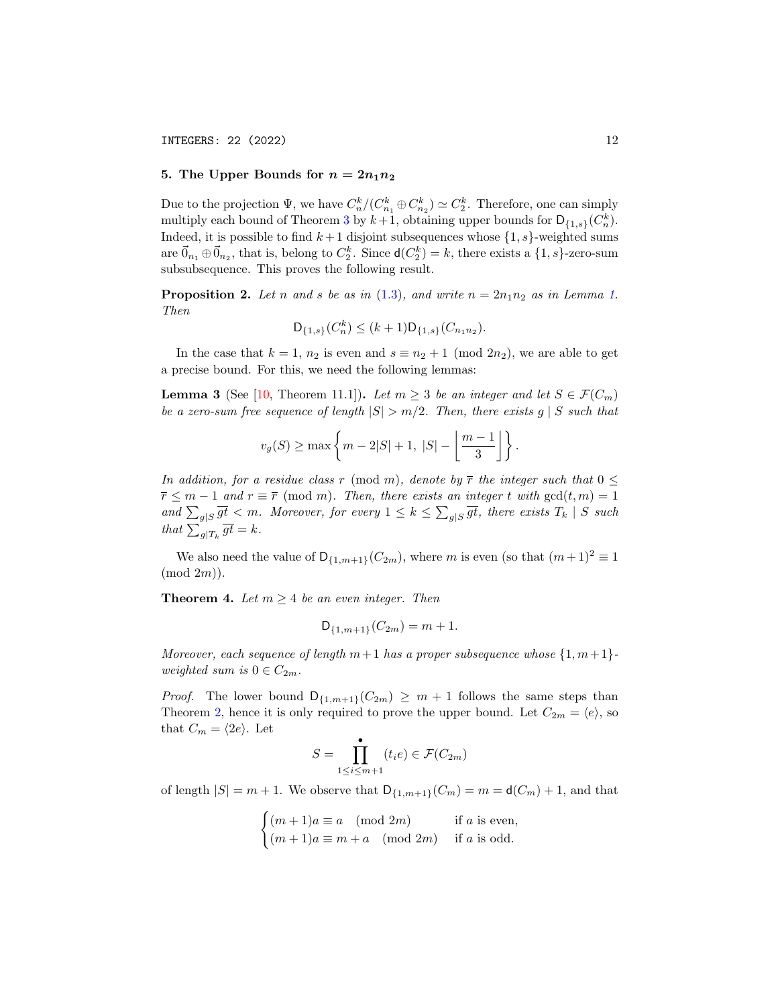# <span id="page-11-0"></span>5. The Upper Bounds for  $n = 2n_1n_2$

Due to the projection  $\Psi$ , we have  $C_n^k/(C_{n_1}^k \oplus C_{n_2}^k) \simeq C_2^k$ . Therefore, one can simply multiply each bound of Theorem [3](#page-8-1) by  $k+1$ , obtaining upper bounds for  $\mathsf{D}_{\{1,s\}}(C_n^k)$ . Indeed, it is possible to find  $k+1$  disjoint subsequences whose  $\{1, s\}$ -weighted sums are  $\vec{0}_{n_1} \oplus \vec{0}_{n_2}$ , that is, belong to  $C_2^k$ . Since  $d(C_2^k) = k$ , there exists a  $\{1, s\}$ -zero-sum subsubsequence. This proves the following result.

**Proposition 2.** Let n and s be as in [\(1.3\)](#page-2-0), and write  $n = 2n_1n_2$  as in Lemma [1.](#page-3-0) Then

$$
\mathsf{D}_{\{1,s\}}(C_n^k) \le (k+1)\mathsf{D}_{\{1,s\}}(C_{n_1n_2}).
$$

In the case that  $k = 1$ ,  $n_2$  is even and  $s \equiv n_2 + 1 \pmod{2n_2}$ , we are able to get a precise bound. For this, we need the following lemmas:

<span id="page-11-1"></span>**Lemma 3** (See [\[10,](#page-17-12) Theorem 11.1]). Let  $m \geq 3$  be an integer and let  $S \in \mathcal{F}(C_m)$ be a zero-sum free sequence of length  $|S| > m/2$ . Then, there exists g | S such that

$$
v_g(S) \ge \max \left\{ m - 2|S| + 1, |S| - \left\lfloor \frac{m-1}{3} \right\rfloor \right\}.
$$

In addition, for a residue class r (mod m), denote by  $\bar{r}$  the integer such that  $0 \leq$  $\overline{r} \leq m-1$  and  $r \equiv \overline{r} \pmod{m}$ . Then, there exists an integer t with  $gcd(t, m) = 1$ and  $\sum_{g|S} \overline{gt} < m$ . Moreover, for every  $1 \le k \le \sum_{g|S} \overline{gt}$ , there exists  $T_k \mid S$  such that  $\sum_{g|T_k} \overline{gt} = k$ .

We also need the value of  $D_{\{1,m+1\}}(C_{2m})$ , where m is even (so that  $(m+1)^2 \equiv 1$ )  $(mod 2m).$ 

<span id="page-11-2"></span>**Theorem 4.** Let  $m \geq 4$  be an even integer. Then

$$
D_{\{1,m+1\}}(C_{2m}) = m + 1.
$$

Moreover, each sequence of length  $m+1$  has a proper subsequence whose  $\{1,m+1\}$ weighted sum is  $0 \in C_{2m}$ .

*Proof.* The lower bound  $D_{\{1,m+1\}}(C_{2m}) \geq m+1$  follows the same steps than Theorem [2,](#page-6-1) hence it is only required to prove the upper bound. Let  $C_{2m} = \langle e \rangle$ , so that  $C_m = \langle 2e \rangle$ . Let

$$
S = \prod_{1 \le i \le m+1}^{\bullet} (t_i e) \in \mathcal{F}(C_{2m})
$$

of length  $|S| = m + 1$ . We observe that  $D_{\{1,m+1\}}(C_m) = m = d(C_m) + 1$ , and that

$$
\begin{cases}\n(m+1)a \equiv a \pmod{2m} & \text{if } a \text{ is even,} \\
(m+1)a \equiv m + a \pmod{2m} & \text{if } a \text{ is odd.} \n\end{cases}
$$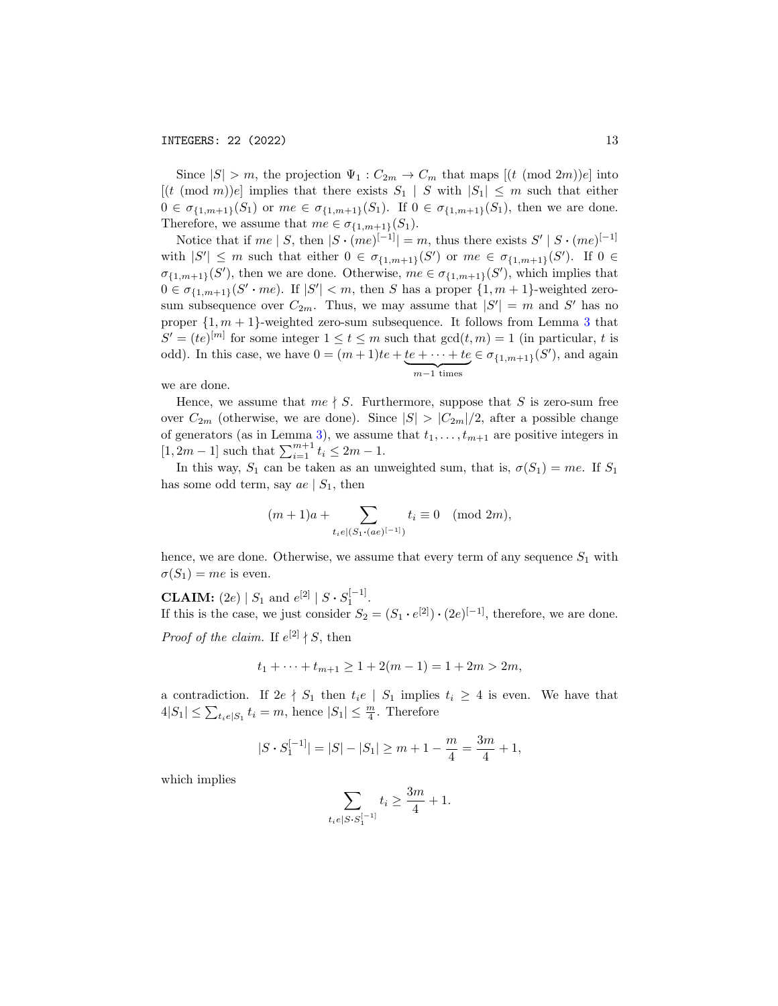Since  $|S| > m$ , the projection  $\Psi_1 : C_{2m} \to C_m$  that maps  $[(t \pmod{2m})e]$  into  $[(t \pmod{m})e]$  implies that there exists  $S_1 \mid S$  with  $|S_1| \leq m$  such that either  $0 \in \sigma_{\{1,m+1\}}(S_1)$  or  $me \in \sigma_{\{1,m+1\}}(S_1)$ . If  $0 \in \sigma_{\{1,m+1\}}(S_1)$ , then we are done. Therefore, we assume that  $me \in \sigma_{\{1,m+1\}}(S_1)$ .

Notice that if  $me \mid S$ , then  $|S \cdot (me)^{[-1]}| = m$ , thus there exists  $S' \mid S \cdot (me)^{[-1]}$ with  $|S'| \leq m$  such that either  $0 \in \sigma_{\{1,m+1\}}(S')$  or  $me \in \sigma_{\{1,m+1\}}(S')$ . If  $0 \in$  $\sigma_{\{1,m+1\}}(S')$ , then we are done. Otherwise,  $me \in \sigma_{\{1,m+1\}}(S')$ , which implies that  $0 \in \sigma_{\{1,m+1\}}(S' \cdot me)$ . If  $|S'| < m$ , then S has a proper  $\{1,m+1\}$ -weighted zerosum subsequence over  $C_{2m}$ . Thus, we may assume that  $|S'| = m$  and S' has no proper  $\{1, m + 1\}$ -weighted zero-sum subsequence. It follows from Lemma [3](#page-11-1) that  $S' = (te)^{[m]}$  for some integer  $1 \le t \le m$  such that  $gcd(t, m) = 1$  (in particular, t is odd). In this case, we have  $0 = (m+1)te + te + \cdots + te \in \sigma_{\{1,m+1\}}(S')$ , and again  ${m-1}$  times

we are done.

Hence, we assume that  $me \nmid S$ . Furthermore, suppose that S is zero-sum free over  $C_{2m}$  (otherwise, we are done). Since  $|S| > |C_{2m}|/2$ , after a possible change of generators (as in Lemma [3\)](#page-11-1), we assume that  $t_1, \ldots, t_{m+1}$  are positive integers in  $[1, 2m - 1]$  such that  $\sum_{i=1}^{m+1} t_i \leq 2m - 1$ .

In this way,  $S_1$  can be taken as an unweighted sum, that is,  $\sigma(S_1) = me$ . If  $S_1$ has some odd term, say  $ae \mid S_1$ , then

$$
(m+1)a + \sum_{t_i e | (S_1 \cdot (ae)^{[-1]})} t_i \equiv 0 \pmod{2m},
$$

hence, we are done. Otherwise, we assume that every term of any sequence  $S_1$  with  $\sigma(S_1) = me$  is even.

**CLAIM:** (2e) |  $S_1$  and  $e^{[2]}$  |  $S \cdot S_1^{[-1]}$ . If this is the case, we just consider  $S_2 = (S_1 \cdot e^{[2]}) \cdot (2e)^{[-1]}$ , therefore, we are done.

*Proof of the claim.* If  $e^{[2]} \nmid S$ , then

$$
t_1 + \dots + t_{m+1} \ge 1 + 2(m - 1) = 1 + 2m > 2m,
$$

a contradiction. If  $2e \nmid S_1$  then  $t_i e \mid S_1$  implies  $t_i \geq 4$  is even. We have that  $4|S_1| \leq \sum_{t_i \in |S_1|} t_i = m$ , hence  $|S_1| \leq \frac{m}{4}$ . Therefore

$$
|S\boldsymbol{\cdot} S_1^{[-1]}|=|S|-|S_1|\ge m+1-\frac{m}{4}=\frac{3m}{4}+1,
$$

which implies

$$
\sum_{t_i \in [S \cdot S_1^{[-1]}} t_i \ge \frac{3m}{4} + 1.
$$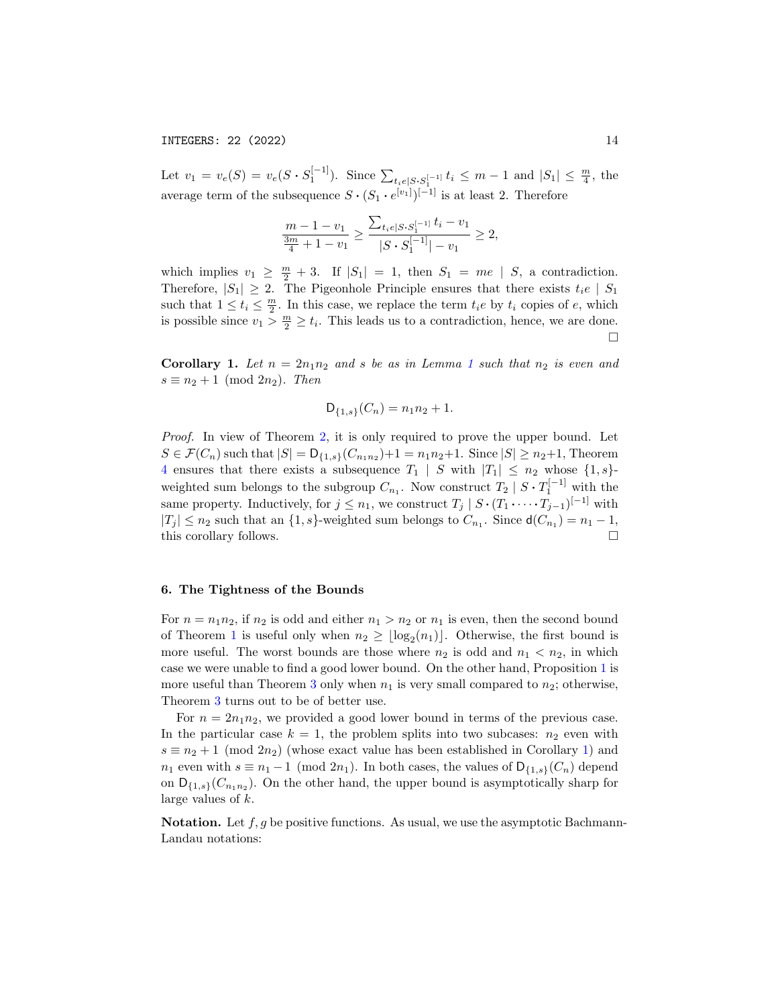INTEGERS: 22 (2022) 14

Let  $v_1 = v_e(S) = v_e(S \cdot S_1^{[-1]})$ . Since  $\sum_{t_i \in [S \cdot S_1^{[-1]}} t_i \leq m-1$  and  $|S_1| \leq \frac{m}{4}$ , the average term of the subsequence  $S \cdot (S_1 \cdot e^{[v_1]})^{[-1]}$  is at least 2. Therefore

$$
\frac{m-1-v_1}{\frac{3m}{4}+1-v_1} \ge \frac{\sum_{t_i e|S \cdot S_1^{[-1]}} t_i - v_1}{|S \cdot S_1^{[-1]}| - v_1} \ge 2,
$$

which implies  $v_1 \geq \frac{m}{2} + 3$ . If  $|S_1| = 1$ , then  $S_1 = me \mid S$ , a contradiction. Therefore,  $|S_1| \geq 2$ . The Pigeonhole Principle ensures that there exists  $t_i e \mid S_1$ such that  $1 \leq t_i \leq \frac{m}{2}$ . In this case, we replace the term  $t_i e$  by  $t_i$  copies of  $e$ , which is possible since  $v_1 > \frac{m}{2} \ge t_i$ . This leads us to a contradiction, hence, we are done.  $\Box$ 

<span id="page-13-1"></span>Corollary [1](#page-3-0). Let  $n = 2n_1n_2$  and s be as in Lemma 1 such that  $n_2$  is even and  $s \equiv n_2 + 1 \pmod{2n_2}$ . Then

$$
\mathsf{D}_{\{1,s\}}(C_n) = n_1 n_2 + 1.
$$

Proof. In view of Theorem [2,](#page-6-1) it is only required to prove the upper bound. Let  $S \in \mathcal{F}(C_n)$  such that  $|S| = \mathsf{D}_{\{1,s\}}(C_{n_1n_2}) + 1 = n_1n_2 + 1$ . Since  $|S| \ge n_2 + 1$ , Theorem [4](#page-11-2) ensures that there exists a subsequence  $T_1$  | S with  $|T_1| \leq n_2$  whose  $\{1, s\}$ weighted sum belongs to the subgroup  $C_{n_1}$ . Now construct  $T_2 | S \cdot T_1^{[-1]}$  with the same property. Inductively, for  $j \leq n_1$ , we construct  $T_j \mid S \cdot (T_1 \cdot \cdots \cdot T_{j-1})^{[-1]}$  with  $|T_j| \leq n_2$  such that an  $\{1, s\}$ -weighted sum belongs to  $C_{n_1}$ . Since  $d(C_{n_1}) = n_1 - 1$ , this corollary follows.  $\Box$ 

# <span id="page-13-0"></span>6. The Tightness of the Bounds

For  $n = n_1 n_2$ , if  $n_2$  is odd and either  $n_1 > n_2$  or  $n_1$  is even, then the second bound of Theorem [1](#page-5-1) is useful only when  $n_2 \geq \lfloor \log_2(n_1) \rfloor$ . Otherwise, the first bound is more useful. The worst bounds are those where  $n_2$  is odd and  $n_1 < n_2$ , in which case we were unable to find a good lower bound. On the other hand, Proposition [1](#page-7-0) is more useful than Theorem [3](#page-8-1) only when  $n_1$  is very small compared to  $n_2$ ; otherwise, Theorem [3](#page-8-1) turns out to be of better use.

For  $n = 2n_1n_2$ , we provided a good lower bound in terms of the previous case. In the particular case  $k = 1$ , the problem splits into two subcases:  $n_2$  even with  $s \equiv n_2 + 1 \pmod{2n_2}$  (whose exact value has been established in Corollary [1\)](#page-13-1) and  $n_1$  even with  $s \equiv n_1 - 1 \pmod{2n_1}$ . In both cases, the values of  $\mathsf{D}_{\{1,s\}}(C_n)$  depend on  $D_{\{1,s\}}(C_{n_1n_2})$ . On the other hand, the upper bound is asymptotically sharp for large values of k.

**Notation.** Let  $f, g$  be positive functions. As usual, we use the asymptotic Bachmann-Landau notations: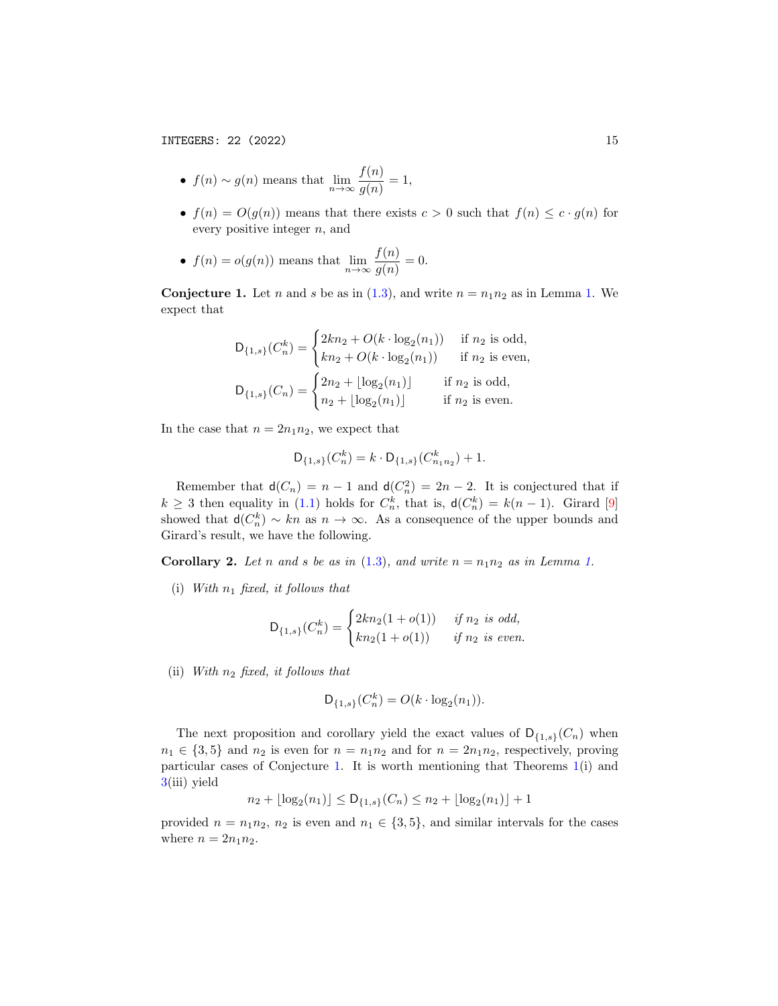- $f(n) \sim g(n)$  means that  $\lim_{n \to \infty} \frac{f(n)}{g(n)}$  $\frac{f^{(n)}}{g(n)} = 1,$
- $f(n) = O(g(n))$  means that there exists  $c > 0$  such that  $f(n) \leq c \cdot g(n)$  for every positive integer  $n$ , and
- $f(n) = o(g(n))$  means that  $\lim_{n \to \infty} \frac{f(n)}{g(n)}$  $\frac{f^{(n)}}{g(n)} = 0.$

<span id="page-14-0"></span>**Conjecture [1.](#page-3-0)** Let *n* and *s* be as in [\(1.3\)](#page-2-0), and write  $n = n_1 n_2$  as in Lemma 1. We expect that

$$
D_{\{1,s\}}(C_n^k) = \begin{cases} 2kn_2 + O(k \cdot \log_2(n_1)) & \text{if } n_2 \text{ is odd,} \\ kn_2 + O(k \cdot \log_2(n_1)) & \text{if } n_2 \text{ is even,} \end{cases}
$$
  

$$
D_{\{1,s\}}(C_n) = \begin{cases} 2n_2 + \lfloor \log_2(n_1) \rfloor & \text{if } n_2 \text{ is odd,} \\ n_2 + \lfloor \log_2(n_1) \rfloor & \text{if } n_2 \text{ is even.} \end{cases}
$$

In the case that  $n = 2n_1n_2$ , we expect that

$$
\mathsf{D}_{\{1,s\}}(C_n^k) = k \cdot \mathsf{D}_{\{1,s\}}(C_{n_1n_2}^k) + 1.
$$

Remember that  $d(C_n) = n - 1$  and  $d(C_n^2) = 2n - 2$ . It is conjectured that if  $k \geq 3$  then equality in [\(1.1\)](#page-1-0) holds for  $C_n^k$ , that is,  $d(C_n^k) = k(n-1)$ . Girard [\[9\]](#page-17-13) showed that  $d(C_n^k) \sim kn$  as  $n \to \infty$ . As a consequence of the upper bounds and Girard's result, we have the following.

**Corollary 2.** Let n and s be as in [\(1.3\)](#page-2-0), and write  $n = n_1 n_2$  as in Lemma [1.](#page-3-0)

(i) With  $n_1$  fixed, it follows that

$$
\mathsf{D}_{\{1,s\}}(C_n^k) = \begin{cases} 2kn_2(1+o(1)) & \text{ if } n_2 \text{ is odd,} \\ kn_2(1+o(1)) & \text{ if } n_2 \text{ is even.} \end{cases}
$$

(ii) With  $n_2$  fixed, it follows that

$$
D_{\{1,s\}}(C_n^k) = O(k \cdot \log_2(n_1)).
$$

The next proposition and corollary yield the exact values of  $D_{\{1,s\}}(C_n)$  when  $n_1 \in \{3, 5\}$  and  $n_2$  is even for  $n = n_1 n_2$  and for  $n = 2n_1 n_2$ , respectively, proving particular cases of Conjecture [1.](#page-14-0) It is worth mentioning that Theorems [1\(](#page-5-1)i) and [3\(](#page-8-1)iii) yield

$$
n_2 + \lfloor \log_2(n_1) \rfloor \le \mathsf{D}_{\{1,s\}}(C_n) \le n_2 + \lfloor \log_2(n_1) \rfloor + 1
$$

provided  $n = n_1 n_2$ ,  $n_2$  is even and  $n_1 \in \{3, 5\}$ , and similar intervals for the cases where  $n = 2n_1n_2$ .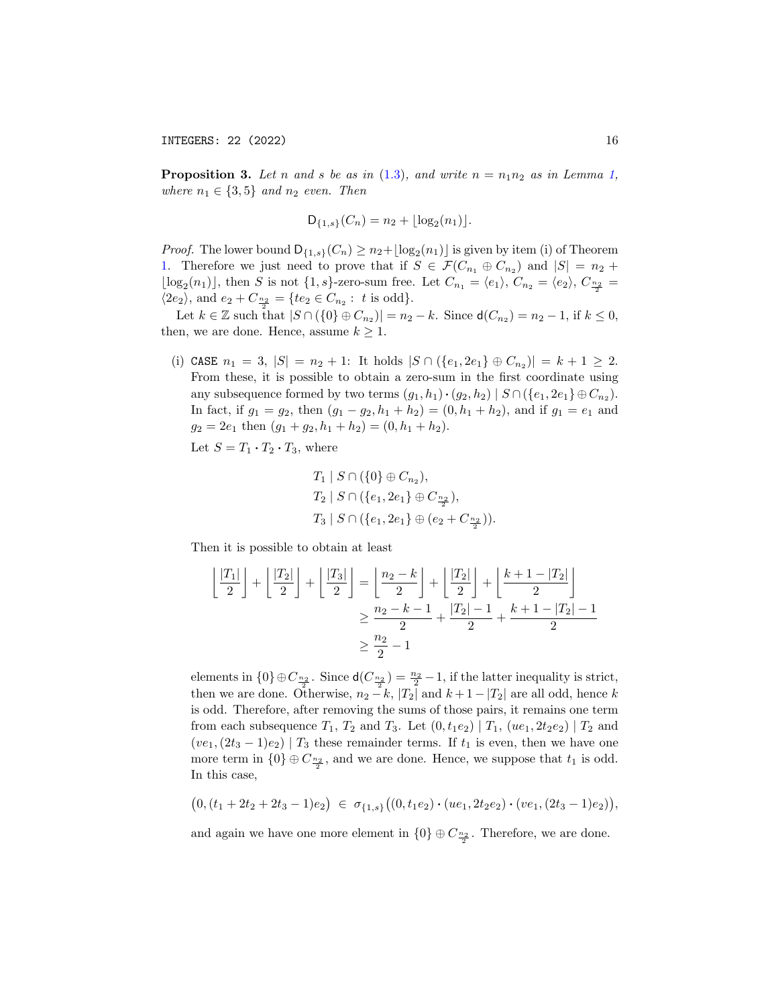INTEGERS: 22 (2022) 16

**Proposition 3.** Let n and s be as in [\(1.3\)](#page-2-0), and write  $n = n_1 n_2$  as in Lemma [1,](#page-3-0) where  $n_1 \in \{3, 5\}$  and  $n_2$  even. Then

$$
D_{\{1,s\}}(C_n) = n_2 + \lfloor \log_2(n_1) \rfloor.
$$

*Proof.* The lower bound  $D_{\{1,s\}}(C_n) \geq n_2 + \lfloor \log_2(n_1) \rfloor$  is given by item (i) of Theorem [1.](#page-5-1) Therefore we just need to prove that if  $S \in \mathcal{F}(C_{n_1} \oplus C_{n_2})$  and  $|S| = n_2 +$  $\lfloor \log_2(n_1) \rfloor$ , then S is not  $\{1, s\}$ -zero-sum free. Let  $C_{n_1} = \langle e_1 \rangle$ ,  $C_{n_2} = \langle e_2 \rangle$ ,  $C_{\frac{n_2}{2}} =$  $\langle 2e_2 \rangle$ , and  $e_2 + C_{\frac{n_2}{2}} = \{te_2 \in C_{n_2} : t \text{ is odd}\}.$ 

Let  $k \in \mathbb{Z}$  such that  $|S \cap (\{0\} \oplus C_{n_2})| = n_2 - k$ . Since  $d(C_{n_2}) = n_2 - 1$ , if  $k \leq 0$ , then, we are done. Hence, assume  $k \geq 1$ .

(i) CASE  $n_1 = 3$ ,  $|S| = n_2 + 1$ : It holds  $|S \cap (\{e_1, 2e_1\} \oplus C_{n_2})| = k + 1 \ge 2$ . From these, it is possible to obtain a zero-sum in the first coordinate using any subsequence formed by two terms  $(g_1, h_1) \cdot (g_2, h_2) \mid S \cap (\{e_1, 2e_1\} \oplus C_{n_2}).$ In fact, if  $g_1 = g_2$ , then  $(g_1 - g_2, h_1 + h_2) = (0, h_1 + h_2)$ , and if  $g_1 = e_1$  and  $g_2 = 2e_1$  then  $(g_1 + g_2, h_1 + h_2) = (0, h_1 + h_2).$ 

Let  $S = T_1 \cdot T_2 \cdot T_3$ , where

$$
T_1 | S \cap (\{0\} \oplus C_{n_2}),
$$
  
\n
$$
T_2 | S \cap (\{e_1, 2e_1\} \oplus C_{\frac{n_2}{2}}),
$$
  
\n
$$
T_3 | S \cap (\{e_1, 2e_1\} \oplus (e_2 + C_{\frac{n_2}{2}})).
$$

Then it is possible to obtain at least

$$
\left\lfloor \frac{|T_1|}{2} \right\rfloor + \left\lfloor \frac{|T_2|}{2} \right\rfloor + \left\lfloor \frac{|T_3|}{2} \right\rfloor = \left\lfloor \frac{n_2 - k}{2} \right\rfloor + \left\lfloor \frac{|T_2|}{2} \right\rfloor + \left\lfloor \frac{k+1-|T_2|}{2} \right\rfloor
$$

$$
\ge \frac{n_2 - k - 1}{2} + \frac{|T_2| - 1}{2} + \frac{k+1-|T_2| - 1}{2}
$$

$$
\ge \frac{n_2}{2} - 1
$$

elements in  $\{0\} \oplus C_{\frac{n_2}{2}}$ . Since  $\mathsf{d}(C_{\frac{n_2}{2}}) = \frac{n_2}{2} - 1$ , if the latter inequality is strict, then we are done. Otherwise,  $n_2 - k$ ,  $|T_2|$  and  $k + 1 - |T_2|$  are all odd, hence k is odd. Therefore, after removing the sums of those pairs, it remains one term from each subsequence  $T_1$ ,  $T_2$  and  $T_3$ . Let  $(0, t_1e_2) | T_1, (ue_1, 2t_2e_2) | T_2$  and  $(ve_1,(2t_3-1)e_2)$  |  $T_3$  these remainder terms. If  $t_1$  is even, then we have one more term in  $\{0\} \oplus C_{\frac{n_2}{2}}$ , and we are done. Hence, we suppose that  $t_1$  is odd. In this case,

$$
(0,(t_1+2t_2+2t_3-1)e_2) \in \sigma_{\{1,s\}}((0,t_1e_2)\cdot (ue_1,2t_2e_2)\cdot (ve_1,(2t_3-1)e_2)),
$$

and again we have one more element in  $\{0\} \oplus C_{\frac{n_2}{2}}$ . Therefore, we are done.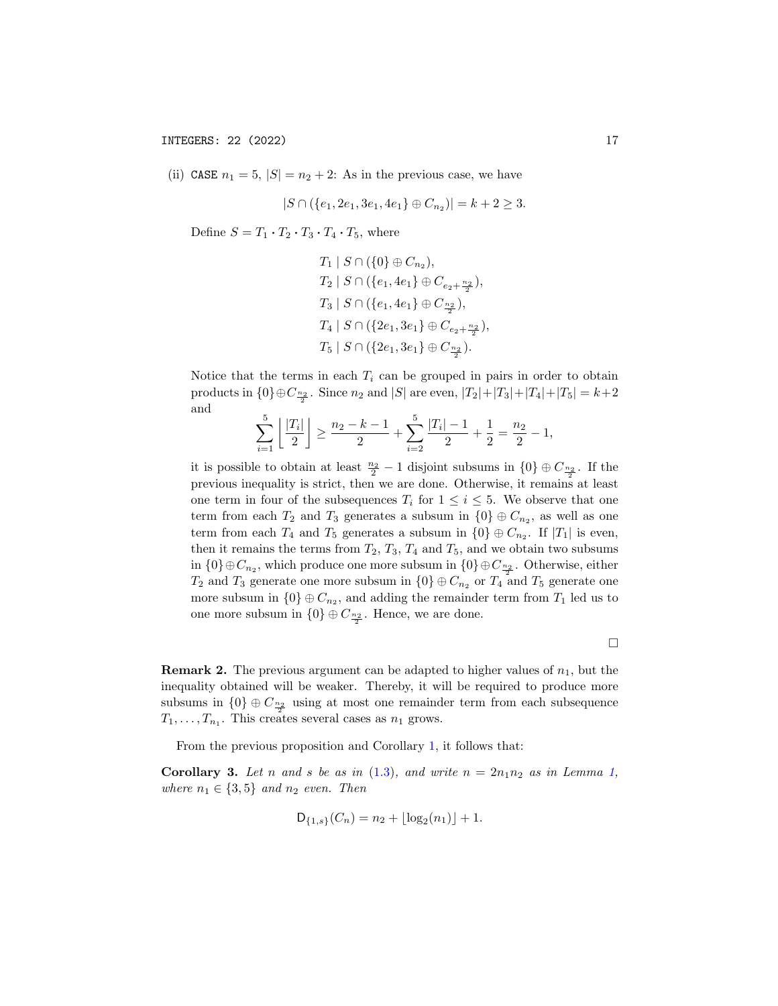(ii) CASE  $n_1 = 5$ ,  $|S| = n_2 + 2$ : As in the previous case, we have

$$
|S \cap (\{e_1, 2e_1, 3e_1, 4e_1\} \oplus C_{n_2})| = k + 2 \ge 3.
$$

Define  $S = T_1 \cdot T_2 \cdot T_3 \cdot T_4 \cdot T_5$ , where

 $T_1 | S \cap (\{0\} \oplus C_{n_2}),$  $T_2 | S \cap (\{e_1, 4e_1\} \oplus C_{e_2 + \frac{n_2}{2}}),$  $T_3 | S \cap (\{e_1, 4e_1\} \oplus C_{\frac{n_2}{2}}),$  $T_4 \mid S \cap (\{2e_1, 3e_1\} \oplus C_{e_2 + \frac{n_2}{2}}),$  $T_5 | S \cap (\{2e_1, 3e_1\} \oplus C_{\frac{n_2}{2}}).$ 

Notice that the terms in each  $T_i$  can be grouped in pairs in order to obtain products in  ${0} \oplus C_{\frac{n_2}{2}}$ . Since  $n_2$  and  $|S|$  are even,  $|T_2|+|T_3|+|T_4|+|T_5|=k+2$ and

$$
\sum_{i=1}^{5} \left\lfloor \frac{|T_i|}{2} \right\rfloor \ge \frac{n_2 - k - 1}{2} + \sum_{i=2}^{5} \frac{|T_i| - 1}{2} + \frac{1}{2} = \frac{n_2}{2} - 1,
$$

it is possible to obtain at least  $\frac{n_2}{2} - 1$  disjoint subsums in  $\{0\} \oplus C_{\frac{n_2}{2}}$ . If the previous inequality is strict, then we are done. Otherwise, it remains at least one term in four of the subsequences  $T_i$  for  $1 \leq i \leq 5$ . We observe that one term from each  $T_2$  and  $T_3$  generates a subsum in  $\{0\} \oplus C_{n_2}$ , as well as one term from each  $T_4$  and  $T_5$  generates a subsum in  $\{0\} \oplus C_{n_2}$ . If  $|T_1|$  is even, then it remains the terms from  $T_2$ ,  $T_3$ ,  $T_4$  and  $T_5$ , and we obtain two subsums in  $\{0\} \oplus C_{n_2}$ , which produce one more subsum in  $\{0\} \oplus C_{\frac{n_2}{2}}$ . Otherwise, either  $T_2$  and  $T_3$  generate one more subsum in  $\{0\} \oplus C_{n_2}$  or  $T_4$  and  $T_5$  generate one more subsum in  $\{0\} \oplus C_{n_2}$ , and adding the remainder term from  $T_1$  led us to one more subsum in  $\{0\} \oplus C_{\frac{n_2}{2}}$ . Hence, we are done.

 $\Box$ 

**Remark 2.** The previous argument can be adapted to higher values of  $n_1$ , but the inequality obtained will be weaker. Thereby, it will be required to produce more subsums in  $\{0\} \oplus C_{\frac{n_2}{2}}$  using at most one remainder term from each subsequence  $T_1, \ldots, T_{n_1}$ . This creates several cases as  $n_1$  grows.

From the previous proposition and Corollary [1,](#page-13-1) it follows that:

Corollary 3. Let n and s be as in  $(1.3)$ , and write  $n = 2n_1n_2$  as in Lemma [1,](#page-3-0) where  $n_1 \in \{3, 5\}$  and  $n_2$  even. Then

$$
D_{\{1,s\}}(C_n) = n_2 + \lfloor \log_2(n_1) \rfloor + 1.
$$